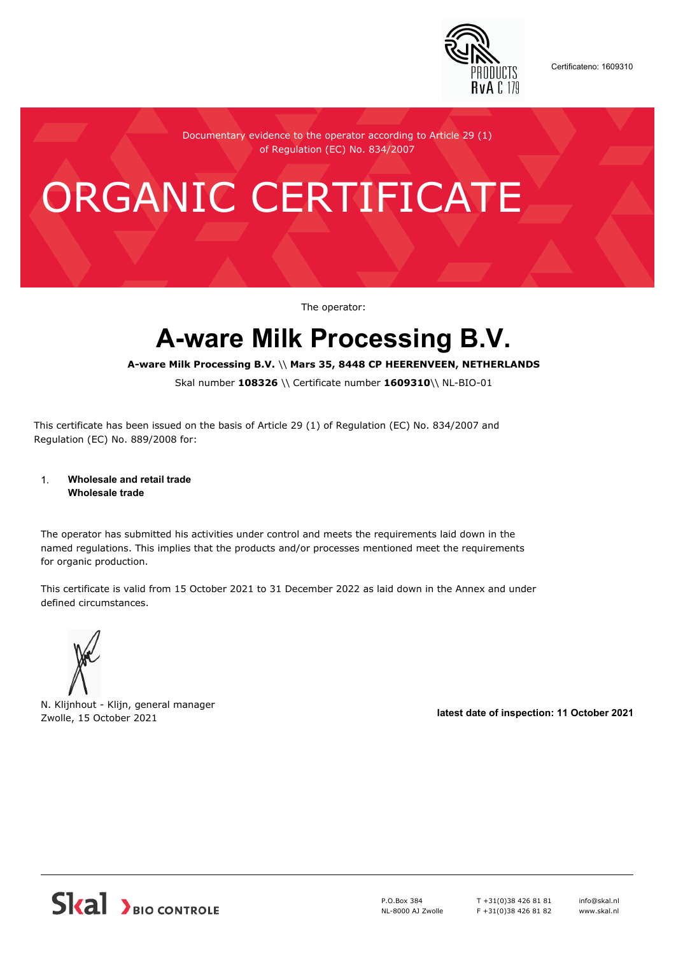

Certificateno: 1609310

Documentary evidence to the operator according to Article 29 (1) of Regulation (EC) No. 834/2007

# ORGANIC CERTIFICATE

The operator:

## **A-ware Milk Processing B.V.**

**A-ware Milk Processing B.V.** \\ **Mars 35, 8448 CP HEERENVEEN, NETHERLANDS**

Skal number **108326** \\ Certificate number **1609310**\\ NL-BIO-01

This certificate has been issued on the basis of Article 29 (1) of Regulation (EC) No. 834/2007 and Regulation (EC) No. 889/2008 for:

#### 1. **Wholesale and retail trade Wholesale trade**

The operator has submitted his activities under control and meets the requirements laid down in the named regulations. This implies that the products and/or processes mentioned meet the requirements for organic production.

This certificate is valid from 15 October 2021 to 31 December 2022 as laid down in the Annex and under defined circumstances.



N. Klijnhout - Klijn, general manager Zwolle, 15 October 2021 **latest date of inspection: 11 October 2021**



P.O.Box 384 NL-8000 AJ Zwolle T +31(0)38 426 81 81 F +31(0)38 426 81 82